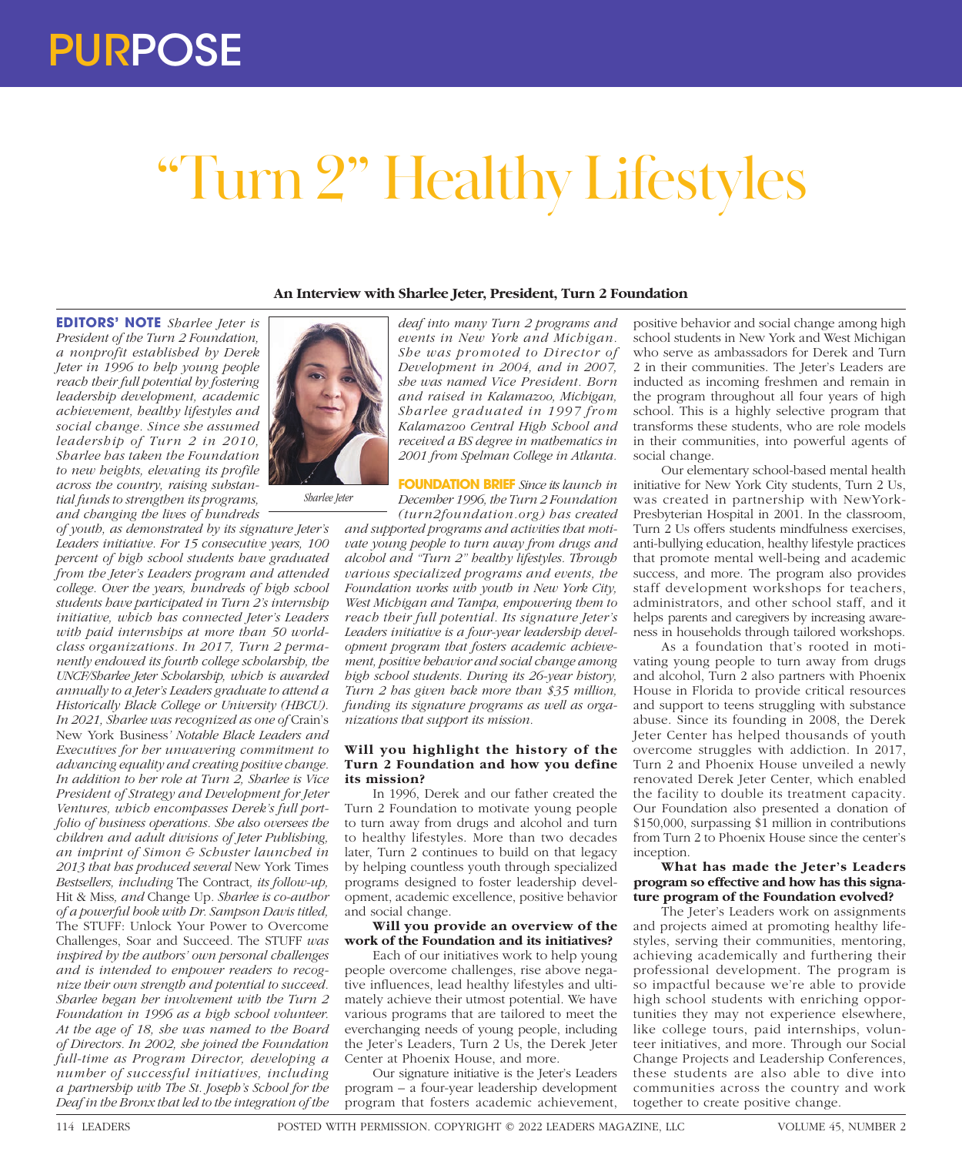# "Turn 2" Healthy Lifestyles

# **An Interview with Sharlee Jeter, President, Turn 2 Foundation**

**EDITORS' NOTE** *Sharlee Jeter is President of the Turn 2 Foundation, a nonprofit established by Derek Jeter in 1996 to help young people reach their full potential by fostering leadership development, academic achievement, healthy lifestyles and social change. Since she assumed leadership of Turn 2 in 2010, Sharlee has taken the Foundation to new heights, elevating its profile across the country, raising substantial funds to strengthen its programs, and changing the lives of hundreds* 

*of youth, as demonstrated by its signature Jeter's Leaders initiative. For 15 consecutive years, 100 percent of high school students have graduated from the Jeter's Leaders program and attended college. Over the years, hundreds of high school students have participated in Turn 2's internship initiative, which has connected Jeter's Leaders with paid internships at more than 50 worldclass organizations. In 2017, Turn 2 permanently endowed its fourth college scholarship, the UNCF/Sharlee Jeter Scholarship, which is awarded annually to a Jeter's Leaders graduate to attend a Historically Black College or University (HBCU). In 2021, Sharlee was recognized as one of* Crain's New York Business*' Notable Black Leaders and Executives for her unwavering commitment to advancing equality and creating positive change. In addition to her role at Turn 2, Sharlee is Vice President of Strategy and Development for Jeter Ventures, which encompasses Derek's full portfolio of business operations. She also oversees the children and adult divisions of Jeter Publishing, an imprint of Simon & Schuster launched in 2013 that has produced several* New York Times *Bestsellers, including* The Contract*, its follow-up,*  Hit & Miss*, and* Change Up*. Sharlee is co-author of a powerful book with Dr. Sampson Davis titled,*  The STUFF: Unlock Your Power to Overcome Challenges, Soar and Succeed*.* The STUFF *was inspired by the authors' own personal challenges and is intended to empower readers to recognize their own strength and potential to succeed. Sharlee began her involvement with the Turn 2 Foundation in 1996 as a high school volunteer. At the age of 18, she was named to the Board of Directors. In 2002, she joined the Foundation full-time as Program Director, developing a number of successful initiatives, including a partnership with The St. Joseph's School for the Deaf in the Bronx that led to the integration of the* 



*Sharlee Jeter*

*deaf into many Turn 2 programs and events in New York and Michigan. She was promoted to Director of Development in 2004, and in 2007, she was named Vice President. Born and raised in Kalamazoo, Michigan, Sharlee graduated in 1997 from Kalamazoo Central High School and received a BS degree in mathematics in 2001 from Spelman College in Atlanta.*

**FOUNDATION BRIEF** *Since its launch in December 1996, the Turn 2 Foundation* 

*(turn2foundation.org) has created and supported programs and activities that motivate young people to turn away from drugs and alcohol and "Turn 2" healthy lifestyles. Through various specialized programs and events, the Foundation works with youth in New York City, West Michigan and Tampa, empowering them to reach their full potential. Its signature Jeter's Leaders initiative is a four-year leadership development program that fosters academic achievement, positive behavior and social change among high school students. During its 26-year history, Turn 2 has given back more than \$35 million, funding its signature programs as well as organizations that support its mission.*

#### **Will you highlight the history of the Turn 2 Foundation and how you define its mission?**

In 1996, Derek and our father created the Turn 2 Foundation to motivate young people to turn away from drugs and alcohol and turn to healthy lifestyles. More than two decades later, Turn 2 continues to build on that legacy by helping countless youth through specialized programs designed to foster leadership development, academic excellence, positive behavior and social change.

#### **Will you provide an overview of the work of the Foundation and its initiatives?**

Each of our initiatives work to help young people overcome challenges, rise above negative influences, lead healthy lifestyles and ultimately achieve their utmost potential. We have various programs that are tailored to meet the everchanging needs of young people, including the Jeter's Leaders, Turn 2 Us, the Derek Jeter Center at Phoenix House, and more.

Our signature initiative is the Jeter's Leaders program – a four-year leadership development program that fosters academic achievement,

positive behavior and social change among high school students in New York and West Michigan who serve as ambassadors for Derek and Turn 2 in their communities. The Jeter's Leaders are inducted as incoming freshmen and remain in the program throughout all four years of high school. This is a highly selective program that transforms these students, who are role models in their communities, into powerful agents of social change.

Our elementary school-based mental health initiative for New York City students, Turn 2 Us, was created in partnership with NewYork-Presbyterian Hospital in 2001. In the classroom, Turn 2 Us offers students mindfulness exercises, anti-bullying education, healthy lifestyle practices that promote mental well-being and academic success, and more. The program also provides staff development workshops for teachers, administrators, and other school staff, and it helps parents and caregivers by increasing awareness in households through tailored workshops.

As a foundation that's rooted in motivating young people to turn away from drugs and alcohol, Turn 2 also partners with Phoenix House in Florida to provide critical resources and support to teens struggling with substance abuse. Since its founding in 2008, the Derek Jeter Center has helped thousands of youth overcome struggles with addiction. In 2017, Turn 2 and Phoenix House unveiled a newly renovated Derek Jeter Center, which enabled the facility to double its treatment capacity. Our Foundation also presented a donation of \$150,000, surpassing \$1 million in contributions from Turn 2 to Phoenix House since the center's inception.

#### **What has made the Jeter's Leaders program so effective and how has this signature program of the Foundation evolved?**

The Jeter's Leaders work on assignments and projects aimed at promoting healthy lifestyles, serving their communities, mentoring, achieving academically and furthering their professional development. The program is so impactful because we're able to provide high school students with enriching opportunities they may not experience elsewhere, like college tours, paid internships, volunteer initiatives, and more. Through our Social Change Projects and Leadership Conferences, these students are also able to dive into communities across the country and work together to create positive change.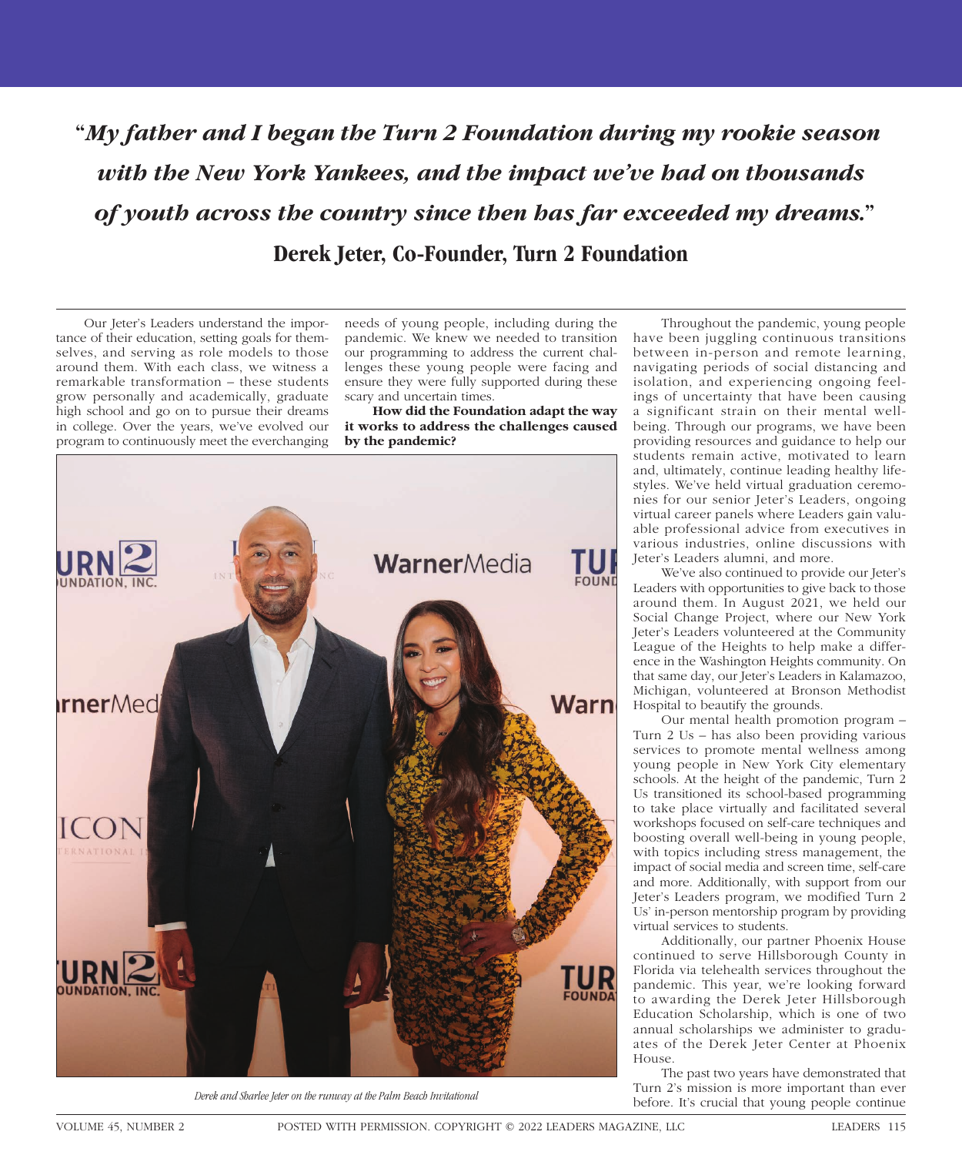**"***My father and I began the Turn 2 Foundation during my rookie season with the New York Yankees, and the impact we've had on thousands of youth across the country since then has far exceeded my dreams.***" Derek Jeter, Co-Founder, Turn 2 Foundation** 

Our Jeter's Leaders understand the importance of their education, setting goals for themselves, and serving as role models to those around them. With each class, we witness a remarkable transformation – these students grow personally and academically, graduate high school and go on to pursue their dreams in college. Over the years, we've evolved our program to continuously meet the everchanging

needs of young people, including during the pandemic. We knew we needed to transition our programming to address the current challenges these young people were facing and ensure they were fully supported during these scary and uncertain times.

**How did the Foundation adapt the way it works to address the challenges caused by the pandemic?**



Throughout the pandemic, young people have been juggling continuous transitions between in-person and remote learning, navigating periods of social distancing and isolation, and experiencing ongoing feelings of uncertainty that have been causing a significant strain on their mental wellbeing. Through our programs, we have been providing resources and guidance to help our students remain active, motivated to learn and, ultimately, continue leading healthy lifestyles. We've held virtual graduation ceremonies for our senior Jeter's Leaders, ongoing virtual career panels where Leaders gain valuable professional advice from executives in various industries, online discussions with Jeter's Leaders alumni, and more.

We've also continued to provide our Jeter's Leaders with opportunities to give back to those around them. In August 2021, we held our Social Change Project, where our New York Jeter's Leaders volunteered at the Community League of the Heights to help make a difference in the Washington Heights community. On that same day, our Jeter's Leaders in Kalamazoo, Michigan, volunteered at Bronson Methodist Hospital to beautify the grounds.

Our mental health promotion program – Turn 2 Us – has also been providing various services to promote mental wellness among young people in New York City elementary schools. At the height of the pandemic, Turn 2 Us transitioned its school-based programming to take place virtually and facilitated several workshops focused on self-care techniques and boosting overall well-being in young people, with topics including stress management, the impact of social media and screen time, self-care and more. Additionally, with support from our Jeter's Leaders program, we modified Turn 2 Us' in-person mentorship program by providing virtual services to students.

Additionally, our partner Phoenix House continued to serve Hillsborough County in Florida via telehealth services throughout the pandemic. This year, we're looking forward to awarding the Derek Jeter Hillsborough Education Scholarship, which is one of two annual scholarships we administer to graduates of the Derek Jeter Center at Phoenix House.

The past two years have demonstrated that Turn 2's mission is more important than ever before. It's crucial that young people continue *Derek and Sharlee Jeter on the runway at the Palm Beach Invitational*